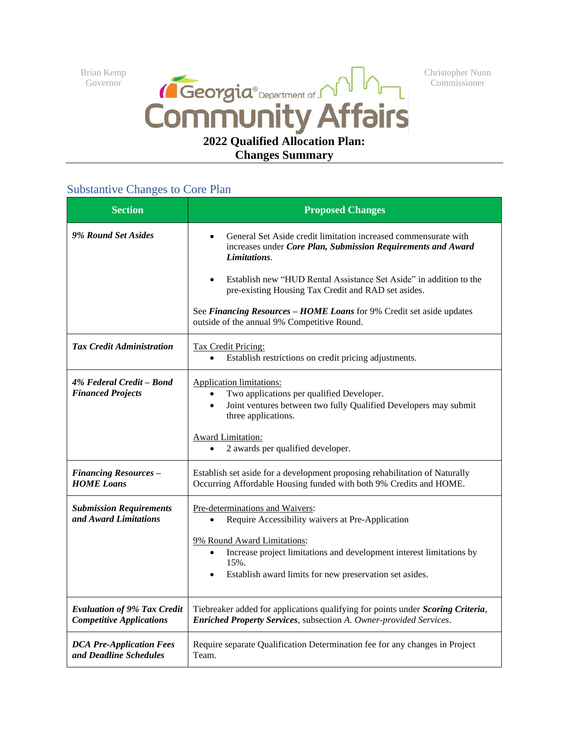Brian Kemp Governor



Christopher Nunn Commissioner

## **Changes Summary**

| <b>Section</b>                                                        | <b>Proposed Changes</b>                                                                                                                                                                                                                                                                                                                                                                                          |
|-----------------------------------------------------------------------|------------------------------------------------------------------------------------------------------------------------------------------------------------------------------------------------------------------------------------------------------------------------------------------------------------------------------------------------------------------------------------------------------------------|
| 9% Round Set Asides                                                   | General Set Aside credit limitation increased commensurate with<br>increases under Core Plan, Submission Requirements and Award<br>Limitations.<br>Establish new "HUD Rental Assistance Set Aside" in addition to the<br>$\bullet$<br>pre-existing Housing Tax Credit and RAD set asides.<br>See Financing Resources - HOME Loans for 9% Credit set aside updates<br>outside of the annual 9% Competitive Round. |
| <b>Tax Credit Administration</b>                                      | Tax Credit Pricing:<br>Establish restrictions on credit pricing adjustments.                                                                                                                                                                                                                                                                                                                                     |
| 4% Federal Credit - Bond<br><b>Financed Projects</b>                  | <b>Application limitations:</b><br>Two applications per qualified Developer.<br>$\bullet$<br>Joint ventures between two fully Qualified Developers may submit<br>$\bullet$<br>three applications.<br><b>Award Limitation:</b><br>2 awards per qualified developer.                                                                                                                                               |
| <b>Financing Resources -</b><br><b>HOME</b> Loans                     | Establish set aside for a development proposing rehabilitation of Naturally<br>Occurring Affordable Housing funded with both 9% Credits and HOME.                                                                                                                                                                                                                                                                |
| <b>Submission Requirements</b><br>and Award Limitations               | Pre-determinations and Waivers:<br>Require Accessibility waivers at Pre-Application<br>$\bullet$<br>9% Round Award Limitations:<br>Increase project limitations and development interest limitations by<br>$\bullet$<br>15%.<br>Establish award limits for new preservation set asides.                                                                                                                          |
| <b>Evaluation of 9% Tax Credit</b><br><b>Competitive Applications</b> | Tiebreaker added for applications qualifying for points under Scoring Criteria,<br>Enriched Property Services, subsection A. Owner-provided Services.                                                                                                                                                                                                                                                            |
| <b>DCA Pre-Application Fees</b><br>and Deadline Schedules             | Require separate Qualification Determination fee for any changes in Project<br>Team.                                                                                                                                                                                                                                                                                                                             |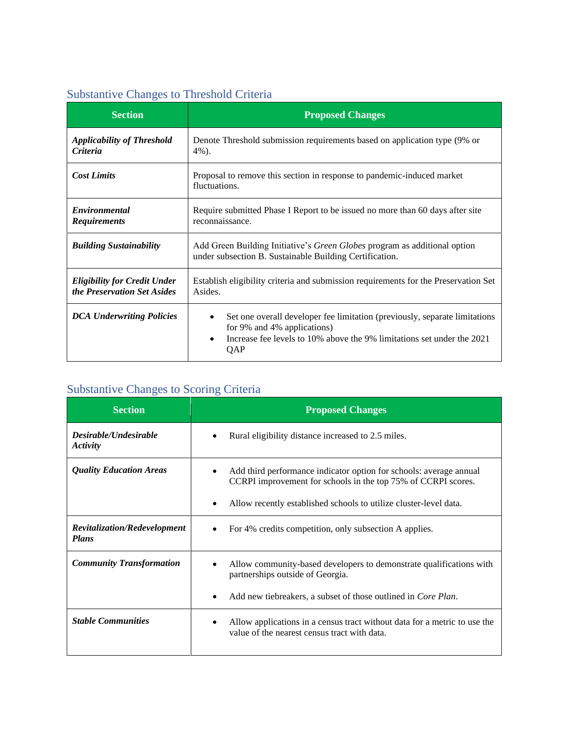## Substantive Changes to Threshold Criteria

| <b>Section</b>                                                     | <b>Proposed Changes</b>                                                                                                                                                                    |
|--------------------------------------------------------------------|--------------------------------------------------------------------------------------------------------------------------------------------------------------------------------------------|
| <b>Applicability of Threshold</b><br>Criteria                      | Denote Threshold submission requirements based on application type (9% or<br>$4\%$ ).                                                                                                      |
| <b>Cost Limits</b>                                                 | Proposal to remove this section in response to pandemic-induced market<br>fluctuations.                                                                                                    |
| <b>Environmental</b><br><b>Requirements</b>                        | Require submitted Phase I Report to be issued no more than 60 days after site<br>reconnaissance.                                                                                           |
| <b>Building Sustainability</b>                                     | Add Green Building Initiative's Green Globes program as additional option<br>under subsection B. Sustainable Building Certification.                                                       |
| <b>Eligibility for Credit Under</b><br>the Preservation Set Asides | Establish eligibility criteria and submission requirements for the Preservation Set<br>Asides.                                                                                             |
| <b>DCA Underwriting Policies</b>                                   | Set one overall developer fee limitation (previously, separate limitations<br>for 9% and 4% applications)<br>Increase fee levels to 10% above the 9% limitations set under the 2021<br>QAP |

## Substantive Changes to Scoring Criteria

| <b>Section</b>                      | <b>Proposed Changes</b>                                                                                                                                                                                  |
|-------------------------------------|----------------------------------------------------------------------------------------------------------------------------------------------------------------------------------------------------------|
| Desirable/Undesirable<br>Activity   | Rural eligibility distance increased to 2.5 miles.                                                                                                                                                       |
| <b>Quality Education Areas</b>      | Add third performance indicator option for schools: average annual<br>CCRPI improvement for schools in the top 75% of CCRPI scores.<br>Allow recently established schools to utilize cluster-level data. |
| <b>Revitalization/Redevelopment</b> | For 4% credits competition, only subsection A applies.                                                                                                                                                   |
| <b>Plans</b>                        |                                                                                                                                                                                                          |
| <b>Community Transformation</b>     | Allow community-based developers to demonstrate qualifications with<br>partnerships outside of Georgia.                                                                                                  |
|                                     | Add new tiebreakers, a subset of those outlined in <i>Core Plan</i> .                                                                                                                                    |
| <b>Stable Communities</b>           | Allow applications in a census tract without data for a metric to use the<br>value of the nearest census tract with data.                                                                                |